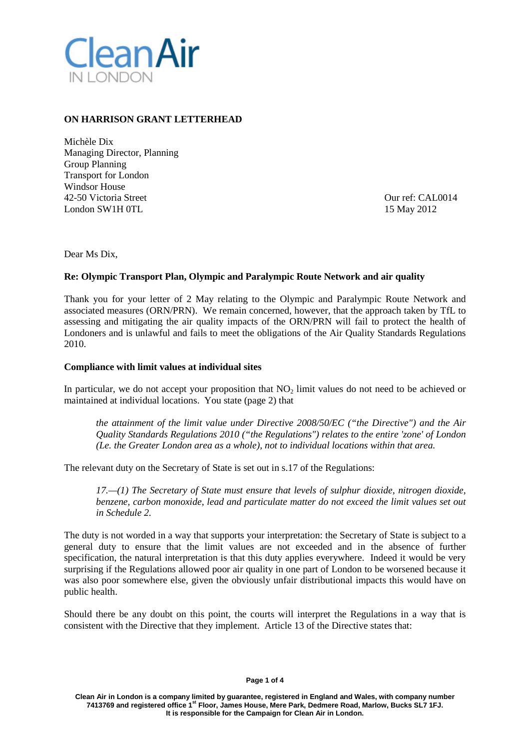

## **ON HARRISON GRANT LETTERHEAD**

Michèle Dix Managing Director, Planning Group Planning Transport for London Windsor House 42-50 Victoria Street CAL0014<br>
London SW1H 0TL 15 May 2012 London SW1H 0TL

Dear Ms Dix,

#### **Re: Olympic Transport Plan, Olympic and Paralympic Route Network and air quality**

Thank you for your letter of 2 May relating to the Olympic and Paralympic Route Network and associated measures (ORN/PRN). We remain concerned, however, that the approach taken by TfL to assessing and mitigating the air quality impacts of the ORN/PRN will fail to protect the health of Londoners and is unlawful and fails to meet the obligations of the Air Quality Standards Regulations 2010.

#### **Compliance with limit values at individual sites**

In particular, we do not accept your proposition that NO<sub>2</sub> limit values do not need to be achieved or maintained at individual locations. You state (page 2) that

*the attainment of the limit value under Directive 2008/50/EC ("the Directive") and the Air Quality Standards Regulations 2010 ("the Regulations") relates to the entire 'zone' of London (Le. the Greater London area as a whole), not to individual locations within that area.*

The relevant duty on the Secretary of State is set out in s.17 of the Regulations:

*17.—(1) The Secretary of State must ensure that levels of sulphur dioxide, nitrogen dioxide, benzene, carbon monoxide, lead and particulate matter do not exceed the limit values set out in Schedule 2.*

The duty is not worded in a way that supports your interpretation: the Secretary of State is subject to a general duty to ensure that the limit values are not exceeded and in the absence of further specification, the natural interpretation is that this duty applies everywhere. Indeed it would be very surprising if the Regulations allowed poor air quality in one part of London to be worsened because it was also poor somewhere else, given the obviously unfair distributional impacts this would have on public health.

Should there be any doubt on this point, the courts will interpret the Regulations in a way that is consistent with the Directive that they implement. Article 13 of the Directive states that:

**Page 1 of 4**

**Clean Air in London is a company limited by guarantee, registered in England and Wales, with company number 7413769 and registered office 1st Floor, James House, Mere Park, Dedmere Road, Marlow, Bucks SL7 1FJ. It is responsible for the Campaign for Clean Air in London.**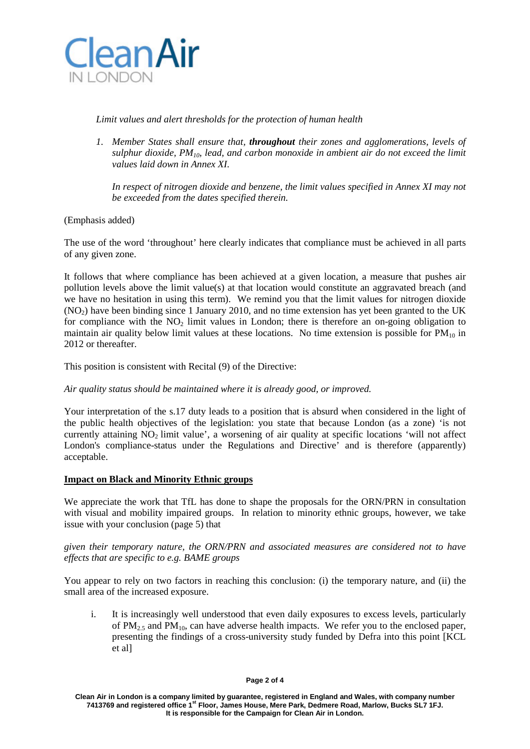

## *Limit values and alert thresholds for the protection of human health*

*1. Member States shall ensure that, throughout their zones and agglomerations, levels of sulphur dioxide, PM10, lead, and carbon monoxide in ambient air do not exceed the limit values laid down in Annex XI.*

*In respect of nitrogen dioxide and benzene, the limit values specified in Annex XI may not be exceeded from the dates specified therein.*

(Emphasis added)

The use of the word 'throughout' here clearly indicates that compliance must be achieved in all parts of any given zone.

It follows that where compliance has been achieved at a given location, a measure that pushes air pollution levels above the limit value(s) at that location would constitute an aggravated breach (and we have no hesitation in using this term). We remind you that the limit values for nitrogen dioxide  $(NO<sub>2</sub>)$  have been binding since 1 January 2010, and no time extension has yet been granted to the UK for compliance with the NO<sub>2</sub> limit values in London; there is therefore an on-going obligation to maintain air quality below limit values at these locations. No time extension is possible for  $PM_{10}$  in 2012 or thereafter.

This position is consistent with Recital (9) of the Directive:

# *Air quality status should be maintained where it is already good, or improved.*

Your interpretation of the s.17 duty leads to a position that is absurd when considered in the light of the public health objectives of the legislation: you state that because London (as a zone) 'is not currently attaining  $NO<sub>2</sub>$  limit value', a worsening of air quality at specific locations 'will not affect London's compliance-status under the Regulations and Directive' and is therefore (apparently) acceptable.

## **Impact on Black and Minority Ethnic groups**

We appreciate the work that TfL has done to shape the proposals for the ORN/PRN in consultation with visual and mobility impaired groups. In relation to minority ethnic groups, however, we take issue with your conclusion (page 5) that

*given their temporary nature, the ORN/PRN and associated measures are considered not to have effects that are specific to e.g. BAME groups*

You appear to rely on two factors in reaching this conclusion: (i) the temporary nature, and (ii) the small area of the increased exposure.

i. It is increasingly well understood that even daily exposures to excess levels, particularly of  $PM_{2.5}$  and  $PM_{10}$ , can have adverse health impacts. We refer you to the enclosed paper, presenting the findings of a cross-university study funded by Defra into this point [KCL et al]

#### **Page 2 of 4**

**Clean Air in London is a company limited by guarantee, registered in England and Wales, with company number 7413769 and registered office 1st Floor, James House, Mere Park, Dedmere Road, Marlow, Bucks SL7 1FJ. It is responsible for the Campaign for Clean Air in London.**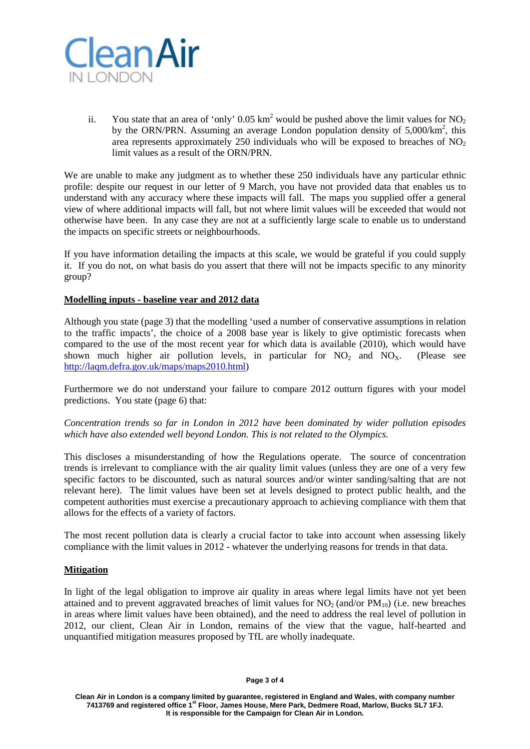

ii. You state that an area of 'only' 0.05 km<sup>2</sup> would be pushed above the limit values for  $NO<sub>2</sub>$ by the ORN/PRN. Assuming an average London population density of  $5,000/km^2$ , this area represents approximately 250 individuals who will be exposed to breaches of  $NO<sub>2</sub>$ limit values as a result of the ORN/PRN.

We are unable to make any judgment as to whether these 250 individuals have any particular ethnic profile: despite our request in our letter of 9 March, you have not provided data that enables us to understand with any accuracy where these impacts will fall. The maps you supplied offer a general view of where additional impacts will fall, but not where limit values will be exceeded that would not otherwise have been. In any case they are not at a sufficiently large scale to enable us to understand the impacts on specific streets or neighbourhoods.

If you have information detailing the impacts at this scale, we would be grateful if you could supply it. If you do not, on what basis do you assert that there will not be impacts specific to any minority group?

## **Modelling inputs - baseline year and 2012 data**

Although you state (page 3) that the modelling 'used a number of conservative assumptions in relation to the traffic impacts', the choice of a 2008 base year is likely to give optimistic forecasts when compared to the use of the most recent year for which data is available (2010), which would have shown much higher air pollution levels, in particular for  $NO<sub>2</sub>$  and  $NO<sub>x</sub>$ . (Please see [http://laqm.defra.gov.uk/maps/maps2010.html\)](http://laqm.defra.gov.uk/maps/maps2010.html)

Furthermore we do not understand your failure to compare 2012 outturn figures with your model predictions. You state (page 6) that:

## *Concentration trends so far in London in 2012 have been dominated by wider pollution episodes which have also extended well beyond London. This is not related to the Olympics.*

This discloses a misunderstanding of how the Regulations operate. The source of concentration trends is irrelevant to compliance with the air quality limit values (unless they are one of a very few specific factors to be discounted, such as natural sources and/or winter sanding/salting that are not relevant here). The limit values have been set at levels designed to protect public health, and the competent authorities must exercise a precautionary approach to achieving compliance with them that allows for the effects of a variety of factors.

The most recent pollution data is clearly a crucial factor to take into account when assessing likely compliance with the limit values in 2012 - whatever the underlying reasons for trends in that data.

# **Mitigation**

In light of the legal obligation to improve air quality in areas where legal limits have not yet been attained and to prevent aggravated breaches of limit values for  $NO<sub>2</sub>$  (and/or  $PM<sub>10</sub>$ ) (i.e. new breaches in areas where limit values have been obtained), and the need to address the real level of pollution in 2012, our client, Clean Air in London, remains of the view that the vague, half-hearted and unquantified mitigation measures proposed by TfL are wholly inadequate.

**Clean Air in London is a company limited by guarantee, registered in England and Wales, with company number 7413769 and registered office 1st Floor, James House, Mere Park, Dedmere Road, Marlow, Bucks SL7 1FJ. It is responsible for the Campaign for Clean Air in London.**